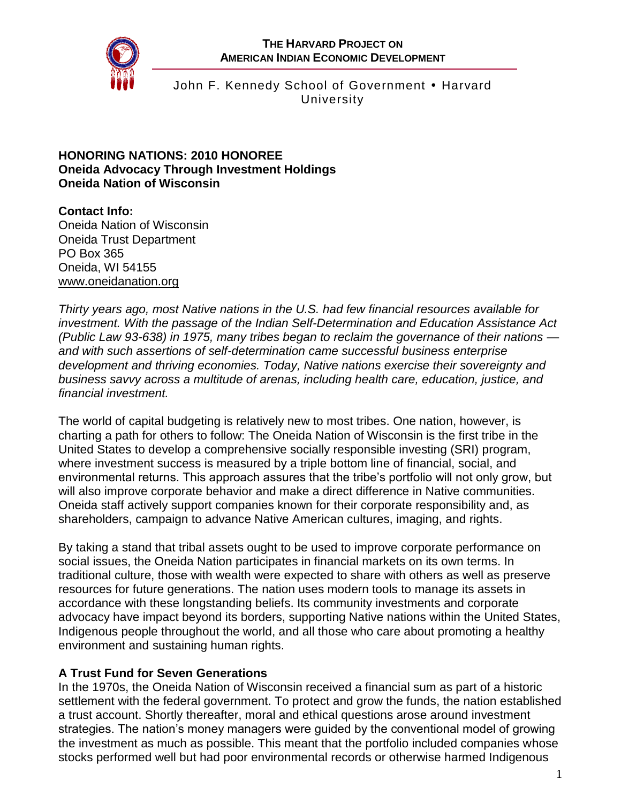**THE HARVARD PROJECT ON AMERICAN INDIAN ECONOMIC DEVELOPMENT**



John F. Kennedy School of Government • Harvard **University** 

#### **HONORING NATIONS: 2010 HONOREE Oneida Advocacy Through Investment Holdings Oneida Nation of Wisconsin**

**Contact Info:** Oneida Nation of Wisconsin Oneida Trust Department PO Box 365 Oneida, WI 54155

[www.oneidanation.org](http://www.oneidanation.org/)

*Thirty years ago, most Native nations in the U.S. had few financial resources available for investment. With the passage of the Indian Self-Determination and Education Assistance Act (Public Law 93-638) in 1975, many tribes began to reclaim the governance of their nations and with such assertions of self-determination came successful business enterprise development and thriving economies. Today, Native nations exercise their sovereignty and business savvy across a multitude of arenas, including health care, education, justice, and financial investment.*

The world of capital budgeting is relatively new to most tribes. One nation, however, is charting a path for others to follow: The Oneida Nation of Wisconsin is the first tribe in the United States to develop a comprehensive socially responsible investing (SRI) program, where investment success is measured by a triple bottom line of financial, social, and environmental returns. This approach assures that the tribe's portfolio will not only grow, but will also improve corporate behavior and make a direct difference in Native communities. Oneida staff actively support companies known for their corporate responsibility and, as shareholders, campaign to advance Native American cultures, imaging, and rights.

By taking a stand that tribal assets ought to be used to improve corporate performance on social issues, the Oneida Nation participates in financial markets on its own terms. In traditional culture, those with wealth were expected to share with others as well as preserve resources for future generations. The nation uses modern tools to manage its assets in accordance with these longstanding beliefs. Its community investments and corporate advocacy have impact beyond its borders, supporting Native nations within the United States, Indigenous people throughout the world, and all those who care about promoting a healthy environment and sustaining human rights.

## **A Trust Fund for Seven Generations**

In the 1970s, the Oneida Nation of Wisconsin received a financial sum as part of a historic settlement with the federal government. To protect and grow the funds, the nation established a trust account. Shortly thereafter, moral and ethical questions arose around investment strategies. The nation's money managers were guided by the conventional model of growing the investment as much as possible. This meant that the portfolio included companies whose stocks performed well but had poor environmental records or otherwise harmed Indigenous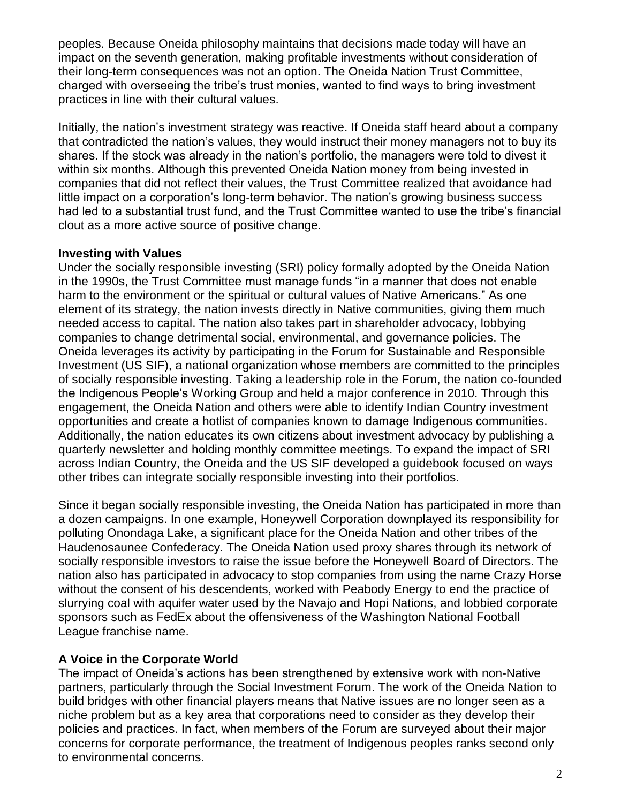peoples. Because Oneida philosophy maintains that decisions made today will have an impact on the seventh generation, making profitable investments without consideration of their long-term consequences was not an option. The Oneida Nation Trust Committee, charged with overseeing the tribe's trust monies, wanted to find ways to bring investment practices in line with their cultural values.

Initially, the nation's investment strategy was reactive. If Oneida staff heard about a company that contradicted the nation's values, they would instruct their money managers not to buy its shares. If the stock was already in the nation's portfolio, the managers were told to divest it within six months. Although this prevented Oneida Nation money from being invested in companies that did not reflect their values, the Trust Committee realized that avoidance had little impact on a corporation's long-term behavior. The nation's growing business success had led to a substantial trust fund, and the Trust Committee wanted to use the tribe's financial clout as a more active source of positive change.

#### **Investing with Values**

Under the socially responsible investing (SRI) policy formally adopted by the Oneida Nation in the 1990s, the Trust Committee must manage funds "in a manner that does not enable harm to the environment or the spiritual or cultural values of Native Americans." As one element of its strategy, the nation invests directly in Native communities, giving them much needed access to capital. The nation also takes part in shareholder advocacy, lobbying companies to change detrimental social, environmental, and governance policies. The Oneida leverages its activity by participating in the Forum for Sustainable and Responsible Investment (US SIF), a national organization whose members are committed to the principles of socially responsible investing. Taking a leadership role in the Forum, the nation co-founded the Indigenous People's Working Group and held a major conference in 2010. Through this engagement, the Oneida Nation and others were able to identify Indian Country investment opportunities and create a hotlist of companies known to damage Indigenous communities. Additionally, the nation educates its own citizens about investment advocacy by publishing a quarterly newsletter and holding monthly committee meetings. To expand the impact of SRI across Indian Country, the Oneida and the US SIF developed a guidebook focused on ways other tribes can integrate socially responsible investing into their portfolios.

Since it began socially responsible investing, the Oneida Nation has participated in more than a dozen campaigns. In one example, Honeywell Corporation downplayed its responsibility for polluting Onondaga Lake, a significant place for the Oneida Nation and other tribes of the Haudenosaunee Confederacy. The Oneida Nation used proxy shares through its network of socially responsible investors to raise the issue before the Honeywell Board of Directors. The nation also has participated in advocacy to stop companies from using the name Crazy Horse without the consent of his descendents, worked with Peabody Energy to end the practice of slurrying coal with aquifer water used by the Navajo and Hopi Nations, and lobbied corporate sponsors such as FedEx about the offensiveness of the Washington National Football League franchise name.

## **A Voice in the Corporate World**

The impact of Oneida's actions has been strengthened by extensive work with non-Native partners, particularly through the Social Investment Forum. The work of the Oneida Nation to build bridges with other financial players means that Native issues are no longer seen as a niche problem but as a key area that corporations need to consider as they develop their policies and practices. In fact, when members of the Forum are surveyed about their major concerns for corporate performance, the treatment of Indigenous peoples ranks second only to environmental concerns.